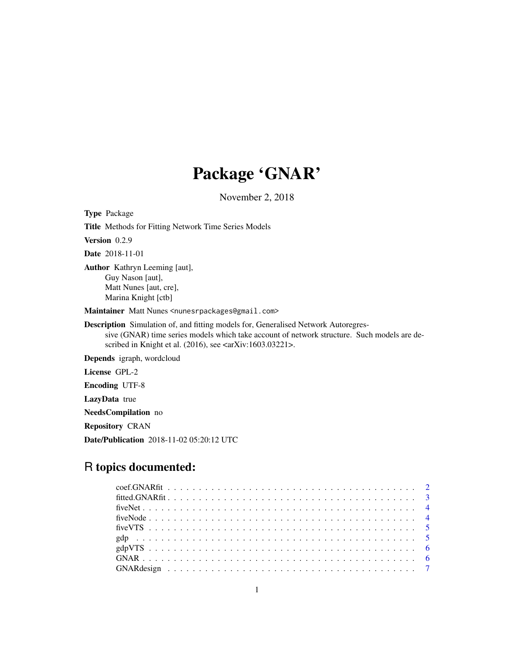# Package 'GNAR'

November 2, 2018

<span id="page-0-0"></span>Type Package Title Methods for Fitting Network Time Series Models Version 0.2.9 Date 2018-11-01 Author Kathryn Leeming [aut], Guy Nason [aut], Matt Nunes [aut, cre], Marina Knight [ctb] Maintainer Matt Nunes <nunesrpackages@gmail.com>

Description Simulation of, and fitting models for, Generalised Network Autoregressive (GNAR) time series models which take account of network structure. Such models are described in Knight et al. (2016), see <arXiv:1603.03221>.

Depends igraph, wordcloud

License GPL-2

Encoding UTF-8

LazyData true

NeedsCompilation no

Repository CRAN

Date/Publication 2018-11-02 05:20:12 UTC

## R topics documented: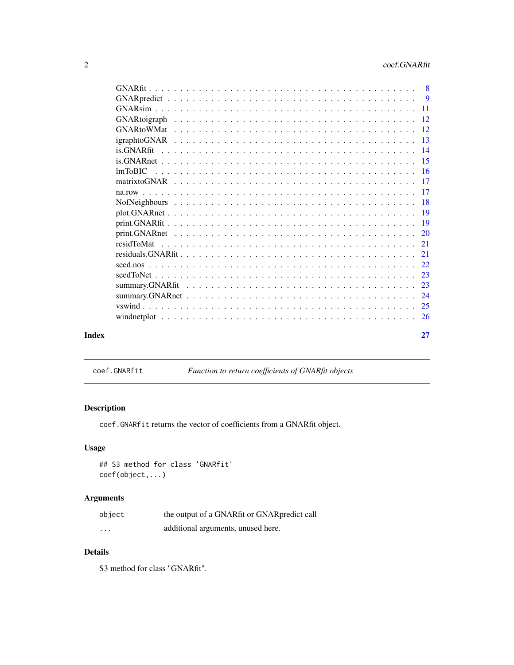<span id="page-1-0"></span>

| Index | 27 |
|-------|----|
|       |    |
|       |    |
|       |    |
|       |    |
|       |    |
|       |    |
|       | 21 |
|       |    |
|       |    |
|       |    |
|       |    |
|       |    |
|       |    |
|       |    |
|       |    |
|       |    |
|       |    |
|       |    |
|       |    |
|       |    |
|       |    |
|       |    |
|       |    |

coef.GNARfit *Function to return coefficients of GNARfit objects*

## Description

coef.GNARfit returns the vector of coefficients from a GNARfit object.

## Usage

## S3 method for class 'GNARfit' coef(object,...)

## Arguments

| object   | the output of a GNARfit or GNARpredict call |
|----------|---------------------------------------------|
| $\cdots$ | additional arguments, unused here.          |

## Details

S3 method for class "GNARfit".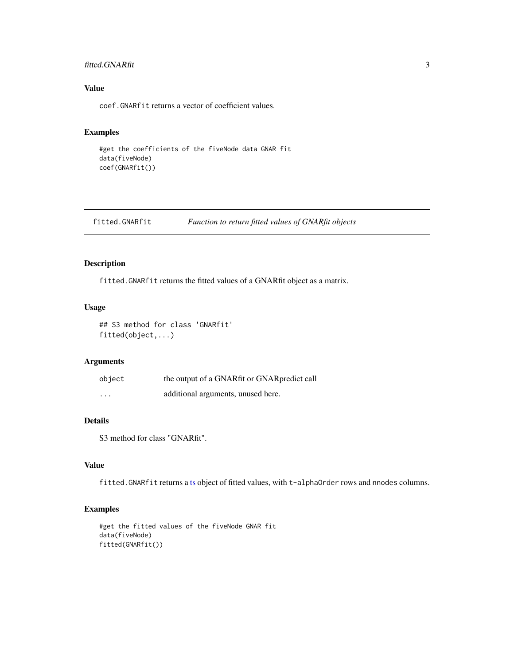## <span id="page-2-0"></span>fitted.GNARfit 3

## Value

coef.GNARfit returns a vector of coefficient values.

#### Examples

```
#get the coefficients of the fiveNode data GNAR fit
data(fiveNode)
coef(GNARfit())
```
fitted.GNARfit *Function to return fitted values of GNARfit objects*

## Description

fitted.GNARfit returns the fitted values of a GNARfit object as a matrix.

## Usage

```
## S3 method for class 'GNARfit'
fitted(object,...)
```
## Arguments

| object                  | the output of a GNARfit or GNARpredict call |
|-------------------------|---------------------------------------------|
| $\cdot$ $\cdot$ $\cdot$ | additional arguments, unused here.          |

## Details

S3 method for class "GNARfit".

## Value

fitted.GNARfit returns a [ts](#page-0-0) object of fitted values, with t-alphaOrder rows and nnodes columns.

```
#get the fitted values of the fiveNode GNAR fit
data(fiveNode)
fitted(GNARfit())
```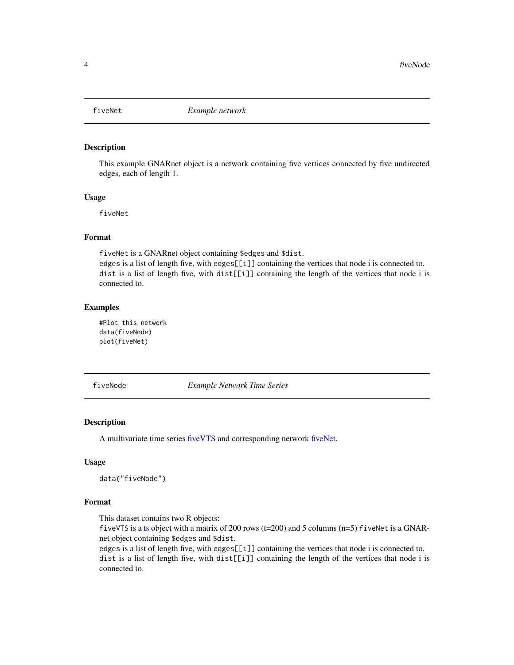<span id="page-3-1"></span><span id="page-3-0"></span>

This example GNARnet object is a network containing five vertices connected by five undirected edges, each of length 1.

#### Usage

fiveNet

## Format

fiveNet is a GNARnet object containing \$edges and \$dist. edges is a list of length five, with edges[[i]] containing the vertices that node i is connected to. dist is a list of length five, with dist[[i]] containing the length of the vertices that node i is connected to.

## Examples

#Plot this network data(fiveNode) plot(fiveNet)

<span id="page-3-2"></span>fiveNode *Example Network Time Series*

## Description

A multivariate time series [fiveVTS](#page-4-1) and corresponding network [fiveNet.](#page-3-1)

## Usage

```
data("fiveNode")
```
## Format

This dataset contains two R objects:

fiveVTS is a [ts](#page-0-0) object with a matrix of 200 rows (t=200) and 5 columns (n=5) fiveNet is a GNARnet object containing \$edges and \$dist.

edges is a list of length five, with edges[[i]] containing the vertices that node i is connected to. dist is a list of length five, with dist[[i]] containing the length of the vertices that node i is connected to.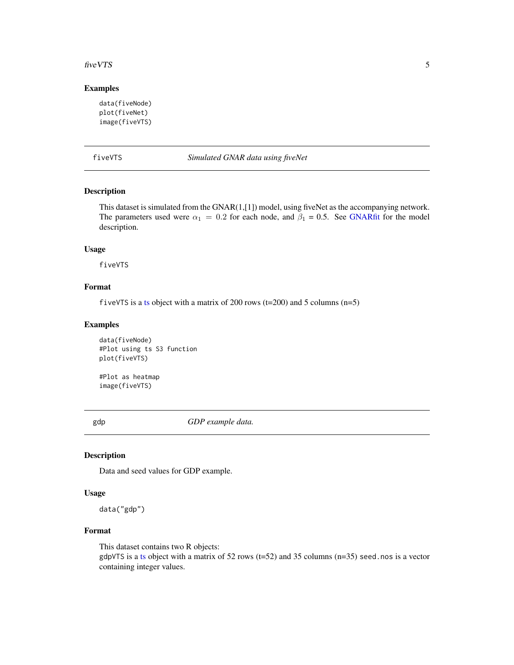#### <span id="page-4-0"></span>five VTS 5

## Examples

```
data(fiveNode)
plot(fiveNet)
image(fiveVTS)
```
<span id="page-4-1"></span>fiveVTS *Simulated GNAR data using fiveNet*

## Description

This dataset is simulated from the GNAR(1,[1]) model, using fiveNet as the accompanying network. The parameters used were  $\alpha_1 = 0.2$  for each node, and  $\beta_1 = 0.5$ . See [GNARfit](#page-7-1) for the model description.

## Usage

fiveVTS

## Format

fiveVTS is a [ts](#page-0-0) object with a matrix of 200 rows (t=200) and 5 columns (n=5)

## Examples

```
data(fiveNode)
#Plot using ts S3 function
plot(fiveVTS)
```
#Plot as heatmap image(fiveVTS)

gdp *GDP example data.*

#### Description

Data and seed values for GDP example.

#### Usage

data("gdp")

## Format

This dataset contains two R objects:  $gdpVTS$  is a [ts](#page-0-0) object with a matrix of 52 rows (t=52) and 35 columns (n=35) seed.nos is a vector containing integer values.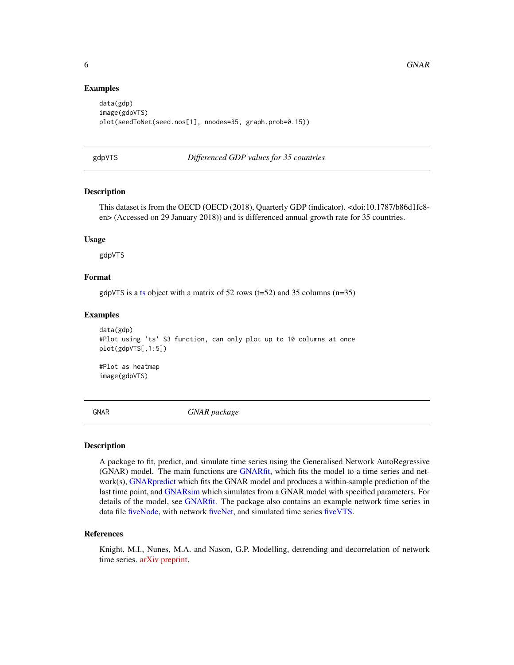#### Examples

```
data(gdp)
image(gdpVTS)
plot(seedToNet(seed.nos[1], nnodes=35, graph.prob=0.15))
```
gdpVTS *Differenced GDP values for 35 countries*

## Description

This dataset is from the OECD (OECD (2018), Quarterly GDP (indicator). <doi:10.1787/b86d1fc8 en> (Accessed on 29 January 2018)) and is differenced annual growth rate for 35 countries.

#### Usage

gdpVTS

## Format

gdpVTS is a [ts](#page-0-0) object with a matrix of 52 rows ( $t=52$ ) and 35 columns ( $n=35$ )

#### Examples

```
data(gdp)
#Plot using 'ts' S3 function, can only plot up to 10 columns at once
plot(gdpVTS[,1:5])
#Plot as heatmap
```
image(gdpVTS)

GNAR *GNAR package*

#### Description

A package to fit, predict, and simulate time series using the Generalised Network AutoRegressive (GNAR) model. The main functions are [GNARfit,](#page-7-1) which fits the model to a time series and network(s), [GNARpredict](#page-8-1) which fits the GNAR model and produces a within-sample prediction of the last time point, and [GNARsim](#page-10-1) which simulates from a GNAR model with specified parameters. For details of the model, see [GNARfit.](#page-7-1) The package also contains an example network time series in data file [fiveNode,](#page-3-2) with network [fiveNet,](#page-3-1) and simulated time series [fiveVTS.](#page-4-1)

#### References

Knight, M.I., Nunes, M.A. and Nason, G.P. Modelling, detrending and decorrelation of network time series. [arXiv preprint.](https://arxiv.org/abs/1603.03221)

<span id="page-5-0"></span>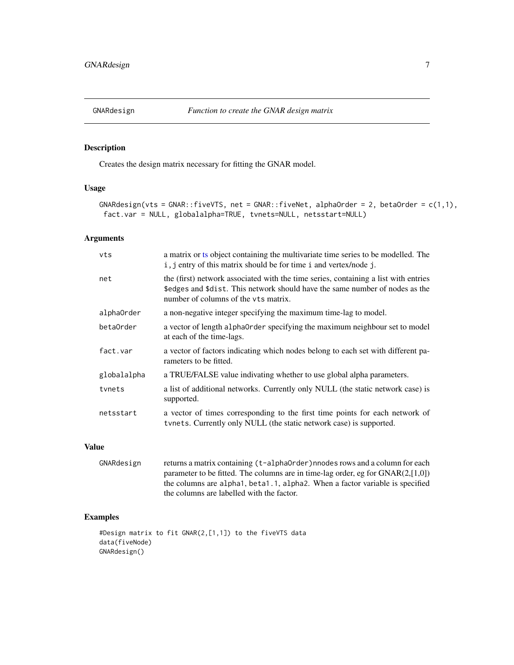<span id="page-6-0"></span>

Creates the design matrix necessary for fitting the GNAR model.

#### Usage

```
GNARdesign(vts = GNAR::fiveVTS, net = GNAR::fiveNet, alphaOrder = 2, betaOrder = c(1,1),
fact.var = NULL, globalalpha=TRUE, tvnets=NULL, netsstart=NULL)
```
## Arguments

| a matrix or ts object containing the multivariate time series to be modelled. The<br>i, j entry of this matrix should be for time i and vertex/node j.                                                      |
|-------------------------------------------------------------------------------------------------------------------------------------------------------------------------------------------------------------|
| the (first) network associated with the time series, containing a list with entries<br>\$edges and \$dist. This network should have the same number of nodes as the<br>number of columns of the vts matrix. |
| a non-negative integer specifying the maximum time-lag to model.                                                                                                                                            |
| a vector of length alpha0rder specifying the maximum neighbour set to model<br>at each of the time-lags.                                                                                                    |
| a vector of factors indicating which nodes belong to each set with different pa-<br>rameters to be fitted.                                                                                                  |
| a TRUE/FALSE value indivating whether to use global alpha parameters.                                                                                                                                       |
| a list of additional networks. Currently only NULL (the static network case) is<br>supported.                                                                                                               |
| a vector of times corresponding to the first time points for each network of<br>tynets. Currently only NULL (the static network case) is supported.                                                         |
|                                                                                                                                                                                                             |

## Value

```
GNARdesign returns a matrix containing (t-alphaOrder)nnodes rows and a column for each
                  parameter to be fitted. The columns are in time-lag order, eg for GNAR(2,[1,0])
                  the columns are alpha1, beta1.1, alpha2. When a factor variable is specified
                  the columns are labelled with the factor.
```

```
#Design matrix to fit GNAR(2,[1,1]) to the fiveVTS data
data(fiveNode)
GNARdesign()
```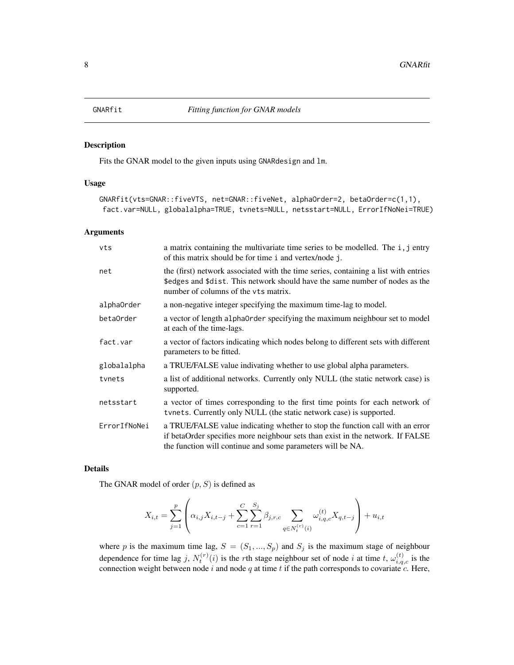<span id="page-7-1"></span><span id="page-7-0"></span>

Fits the GNAR model to the given inputs using GNARdesign and lm.

#### Usage

```
GNARfit(vts=GNAR::fiveVTS, net=GNAR::fiveNet, alphaOrder=2, betaOrder=c(1,1),
fact.var=NULL, globalalpha=TRUE, tvnets=NULL, netsstart=NULL, ErrorIfNoNei=TRUE)
```
#### Arguments

| a matrix containing the multivariate time series to be modelled. The i, j entry<br>of this matrix should be for time i and vertex/node j.                                                                                     |
|-------------------------------------------------------------------------------------------------------------------------------------------------------------------------------------------------------------------------------|
| the (first) network associated with the time series, containing a list with entries<br>\$edges and \$dist. This network should have the same number of nodes as the<br>number of columns of the vts matrix.                   |
| a non-negative integer specifying the maximum time-lag to model.                                                                                                                                                              |
| a vector of length alpha0rder specifying the maximum neighbour set to model<br>at each of the time-lags.                                                                                                                      |
| a vector of factors indicating which nodes belong to different sets with different<br>parameters to be fitted.                                                                                                                |
| a TRUE/FALSE value indivating whether to use global alpha parameters.                                                                                                                                                         |
| a list of additional networks. Currently only NULL (the static network case) is<br>supported.                                                                                                                                 |
| a vector of times corresponding to the first time points for each network of<br>tynets. Currently only NULL (the static network case) is supported.                                                                           |
| a TRUE/FALSE value indicating whether to stop the function call with an error<br>if betaOrder specifies more neighbour sets than exist in the network. If FALSE<br>the function will continue and some parameters will be NA. |
|                                                                                                                                                                                                                               |

#### Details

The GNAR model of order  $(p, S)$  is defined as

$$
X_{i,t} = \sum_{j=1}^{p} \left( \alpha_{i,j} X_{i,t-j} + \sum_{c=1}^{C} \sum_{r=1}^{S_j} \beta_{j,r,c} \sum_{q \in N_t^{(r)}(i)} \omega_{i,q,c}^{(t)} X_{q,t-j} \right) + u_{i,t}
$$

where p is the maximum time lag,  $S = (S_1, ..., S_p)$  and  $S_j$  is the maximum stage of neighbour dependence for time lag j,  $N_t^{(r)}(i)$  is the rth stage neighbour set of node i at time t,  $\omega_{i,q,c}^{(t)}$  is the connection weight between node i and node q at time t if the path corresponds to covariate c. Here,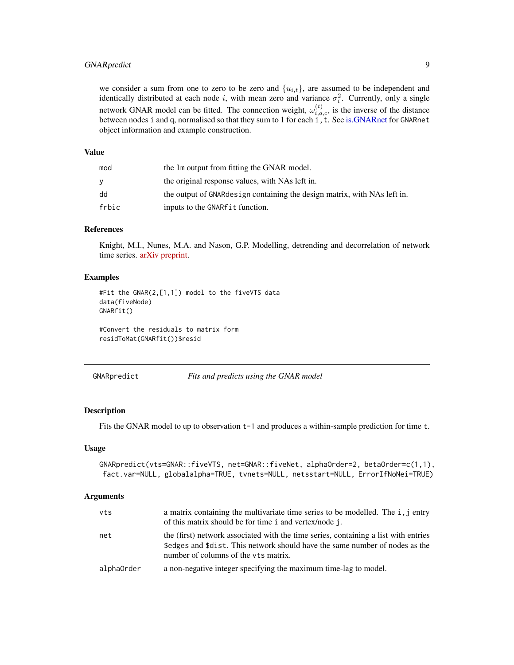## <span id="page-8-0"></span>GNARpredict 9

we consider a sum from one to zero to be zero and  $\{u_{i,t}\}\$ , are assumed to be independent and identically distributed at each node i, with mean zero and variance  $\sigma_i^2$ . Currently, only a single network GNAR model can be fitted. The connection weight,  $\omega_{i,q,c}^{(t)}$ , is the inverse of the distance between nodes i and q, normalised so that they sum to 1 for each i, t. See [is.GNARnet](#page-14-1) for GNARnet object information and example construction.

#### Value

| mod   | the 1m output from fitting the GNAR model.                               |
|-------|--------------------------------------------------------------------------|
| v     | the original response values, with NAs left in.                          |
| dd    | the output of GNARdesign containing the design matrix, with NAs left in. |
| frbic | inputs to the GNAR fit function.                                         |

## References

Knight, M.I., Nunes, M.A. and Nason, G.P. Modelling, detrending and decorrelation of network time series. [arXiv preprint.](https://arxiv.org/abs/1603.03221)

#### Examples

```
#Fit the GNAR(2,[1,1]) model to the fiveVTS data
data(fiveNode)
GNARfit()
```
#Convert the residuals to matrix form residToMat(GNARfit())\$resid

<span id="page-8-1"></span>

GNARpredict *Fits and predicts using the GNAR model*

## Description

Fits the GNAR model to up to observation  $t-1$  and produces a within-sample prediction for time  $t$ .

#### Usage

```
GNARpredict(vts=GNAR::fiveVTS, net=GNAR::fiveNet, alphaOrder=2, betaOrder=c(1,1),
fact.var=NULL, globalalpha=TRUE, tvnets=NULL, netsstart=NULL, ErrorIfNoNei=TRUE)
```
#### Arguments

| vts        | a matrix containing the multivariate time series to be modelled. The i, j entry<br>of this matrix should be for time i and vertex/node j.                                                                   |
|------------|-------------------------------------------------------------------------------------------------------------------------------------------------------------------------------------------------------------|
| net        | the (first) network associated with the time series, containing a list with entries<br>\$edges and \$dist. This network should have the same number of nodes as the<br>number of columns of the vts matrix. |
| alphaOrder | a non-negative integer specifying the maximum time-lag to model.                                                                                                                                            |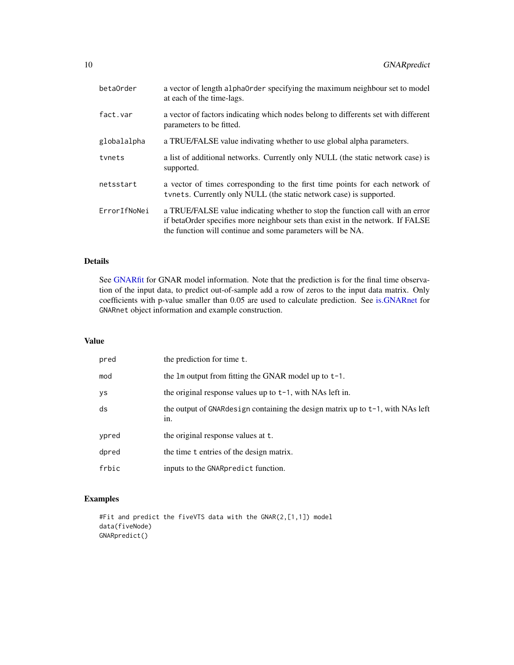<span id="page-9-0"></span>

| betaOrder    | a vector of length alpha0rder specifying the maximum neighbour set to model<br>at each of the time-lags.                                                                                                                      |
|--------------|-------------------------------------------------------------------------------------------------------------------------------------------------------------------------------------------------------------------------------|
| fact.var     | a vector of factors indicating which nodes belong to differents set with different<br>parameters to be fitted.                                                                                                                |
| globalalpha  | a TRUE/FALSE value indivating whether to use global alpha parameters.                                                                                                                                                         |
| tynets       | a list of additional networks. Currently only NULL (the static network case) is<br>supported.                                                                                                                                 |
| netsstart    | a vector of times corresponding to the first time points for each network of<br>tynets. Currently only NULL (the static network case) is supported.                                                                           |
| ErrorIfNoNei | a TRUE/FALSE value indicating whether to stop the function call with an error<br>if betaOrder specifies more neighbour sets than exist in the network. If FALSE<br>the function will continue and some parameters will be NA. |

## Details

See [GNARfit](#page-7-1) for GNAR model information. Note that the prediction is for the final time observation of the input data, to predict out-of-sample add a row of zeros to the input data matrix. Only coefficients with p-value smaller than 0.05 are used to calculate prediction. See [is.GNARnet](#page-14-1) for GNARnet object information and example construction.

#### Value

| pred  | the prediction for time t.                                                               |
|-------|------------------------------------------------------------------------------------------|
| mod   | the $\text{Im}$ output from fitting the GNAR model up to $t-1$ .                         |
| ys    | the original response values up to $t-1$ , with NAs left in.                             |
| ds    | the output of GNARdesign containing the design matrix up to $t-1$ , with NAs left<br>in. |
| ypred | the original response values at t.                                                       |
| dpred | the time t entries of the design matrix.                                                 |
| frbic | inputs to the GNARpredict function.                                                      |

```
#Fit and predict the fiveVTS data with the GNAR(2,[1,1]) model
data(fiveNode)
GNARpredict()
```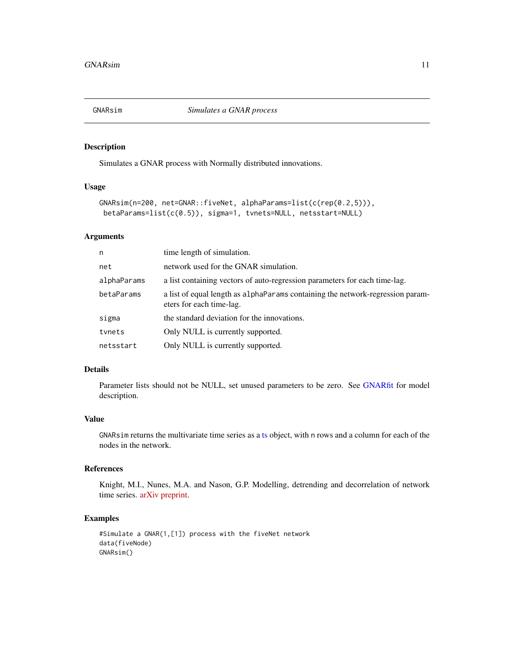<span id="page-10-1"></span><span id="page-10-0"></span>

Simulates a GNAR process with Normally distributed innovations.

## Usage

```
GNARsim(n=200, net=GNAR::fiveNet, alphaParams=list(c(rep(0.2,5))),
betaParams=list(c(0.5)), sigma=1, tvnets=NULL, netsstart=NULL)
```
## Arguments

| n           | time length of simulation.                                                                                    |
|-------------|---------------------------------------------------------------------------------------------------------------|
| net         | network used for the GNAR simulation.                                                                         |
| alphaParams | a list containing vectors of auto-regression parameters for each time-lag.                                    |
| betaParams  | a list of equal length as a 1 pha Params containing the network-regression param-<br>eters for each time-lag. |
| sigma       | the standard deviation for the innovations.                                                                   |
| tynets      | Only NULL is currently supported.                                                                             |
| netsstart   | Only NULL is currently supported.                                                                             |

## Details

Parameter lists should not be NULL, set unused parameters to be zero. See [GNARfit](#page-7-1) for model description.

#### Value

GNARsim returns the multivariate time series as a [ts](#page-0-0) object, with n rows and a column for each of the nodes in the network.

## References

Knight, M.I., Nunes, M.A. and Nason, G.P. Modelling, detrending and decorrelation of network time series. [arXiv preprint.](https://arxiv.org/abs/1603.03221)

```
#Simulate a GNAR(1,[1]) process with the fiveNet network
data(fiveNode)
GNARsim()
```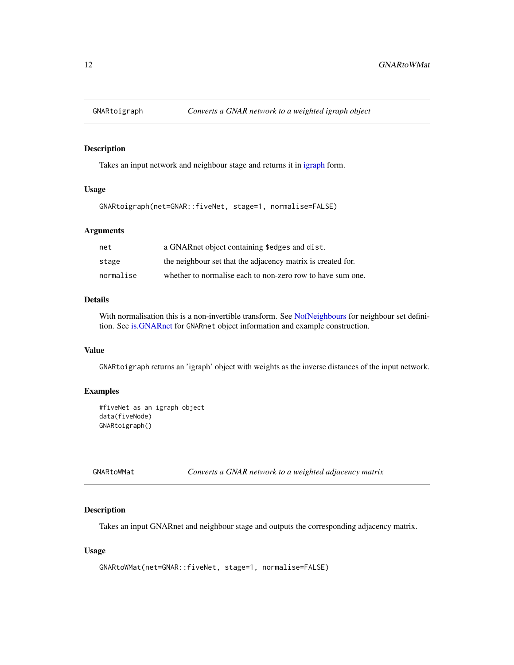<span id="page-11-0"></span>

Takes an input network and neighbour stage and returns it in [igraph](#page-0-0) form.

#### Usage

GNARtoigraph(net=GNAR::fiveNet, stage=1, normalise=FALSE)

## Arguments

| net       | a GNARnet object containing \$edges and dist.               |
|-----------|-------------------------------------------------------------|
| stage     | the neighbour set that the adjacency matrix is created for. |
| normalise | whether to normalise each to non-zero row to have sum one.  |

## Details

With normalisation this is a non-invertible transform. See [NofNeighbours](#page-17-1) for neighbour set definition. See [is.GNARnet](#page-14-1) for GNARnet object information and example construction.

#### Value

GNARtoigraph returns an 'igraph' object with weights as the inverse distances of the input network.

#### Examples

```
#fiveNet as an igraph object
data(fiveNode)
GNARtoigraph()
```
GNARtoWMat *Converts a GNAR network to a weighted adjacency matrix*

### Description

Takes an input GNARnet and neighbour stage and outputs the corresponding adjacency matrix.

## Usage

```
GNARtoWMat(net=GNAR::fiveNet, stage=1, normalise=FALSE)
```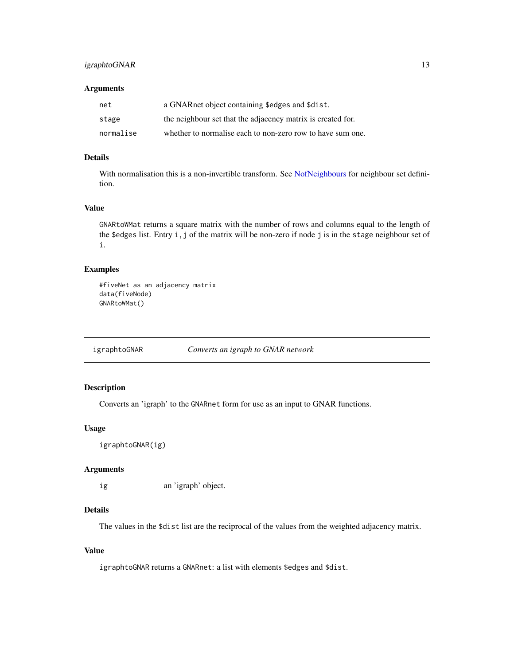## <span id="page-12-0"></span>igraphtoGNAR 13

## Arguments

| net       | a GNARnet object containing \$edges and \$dist.             |
|-----------|-------------------------------------------------------------|
| stage     | the neighbour set that the adjacency matrix is created for. |
| normalise | whether to normalise each to non-zero row to have sum one.  |

## Details

With normalisation this is a non-invertible transform. See [NofNeighbours](#page-17-1) for neighbour set definition.

#### Value

GNARtoWMat returns a square matrix with the number of rows and columns equal to the length of the \$edges list. Entry i, j of the matrix will be non-zero if node j is in the stage neighbour set of i.

## Examples

```
#fiveNet as an adjacency matrix
data(fiveNode)
GNARtoWMat()
```
igraphtoGNAR *Converts an igraph to GNAR network*

## Description

Converts an 'igraph' to the GNARnet form for use as an input to GNAR functions.

#### Usage

```
igraphtoGNAR(ig)
```
## Arguments

ig an 'igraph' object.

#### Details

The values in the \$dist list are the reciprocal of the values from the weighted adjacency matrix.

## Value

igraphtoGNAR returns a GNARnet: a list with elements \$edges and \$dist.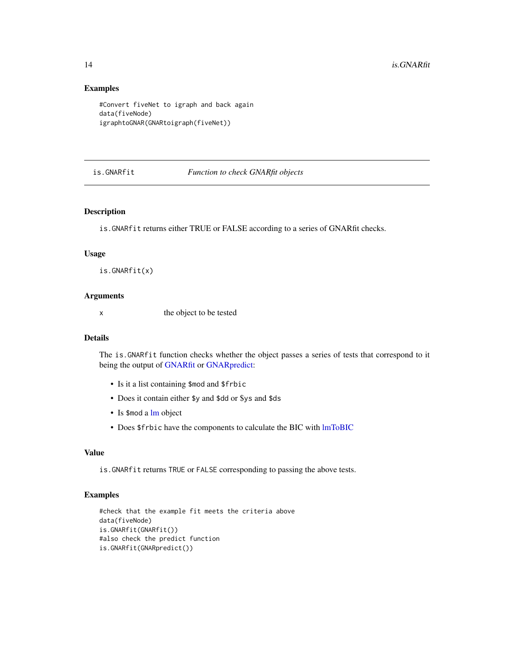## Examples

```
#Convert fiveNet to igraph and back again
data(fiveNode)
igraphtoGNAR(GNARtoigraph(fiveNet))
```
#### is.GNARfit *Function to check GNARfit objects*

#### Description

is.GNARfit returns either TRUE or FALSE according to a series of GNARfit checks.

## Usage

is.GNARfit(x)

## Arguments

x the object to be tested

## Details

The is.GNARfit function checks whether the object passes a series of tests that correspond to it being the output of [GNARfit](#page-7-1) or [GNARpredict:](#page-8-1)

- Is it a list containing \$mod and \$frbic
- Does it contain either \$y and \$dd or \$ys and \$ds
- Is \$mod a [lm](#page-0-0) object
- Does \$frbic have the components to calculate the BIC with [lmToBIC](#page-15-1)

#### Value

is.GNARfit returns TRUE or FALSE corresponding to passing the above tests.

```
#check that the example fit meets the criteria above
data(fiveNode)
is.GNARfit(GNARfit())
#also check the predict function
is.GNARfit(GNARpredict())
```
<span id="page-13-0"></span>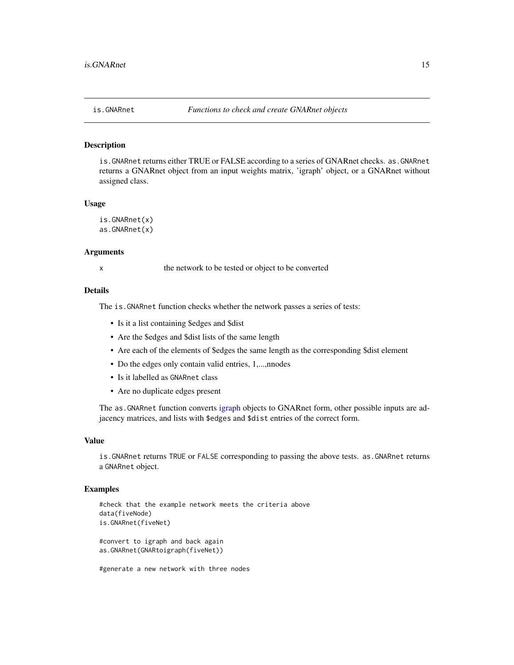is.GNARnet returns either TRUE or FALSE according to a series of GNARnet checks. as.GNARnet returns a GNARnet object from an input weights matrix, 'igraph' object, or a GNARnet without assigned class.

#### Usage

```
is.GNARnet(x)
as.GNARnet(x)
```
#### Arguments

x the network to be tested or object to be converted

#### Details

The is.GNARnet function checks whether the network passes a series of tests:

- Is it a list containing \$edges and \$dist
- Are the \$edges and \$dist lists of the same length
- Are each of the elements of \$edges the same length as the corresponding \$dist element
- Do the edges only contain valid entries, 1,..., nnodes
- Is it labelled as GNARnet class
- Are no duplicate edges present

The as. GNARnet function converts [igraph](#page-0-0) objects to GNARnet form, other possible inputs are adjacency matrices, and lists with \$edges and \$dist entries of the correct form.

#### Value

is.GNARnet returns TRUE or FALSE corresponding to passing the above tests. as.GNARnet returns a GNARnet object.

#### Examples

```
#check that the example network meets the criteria above
data(fiveNode)
is.GNARnet(fiveNet)
#convert to igraph and back again
as.GNARnet(GNARtoigraph(fiveNet))
```
#generate a new network with three nodes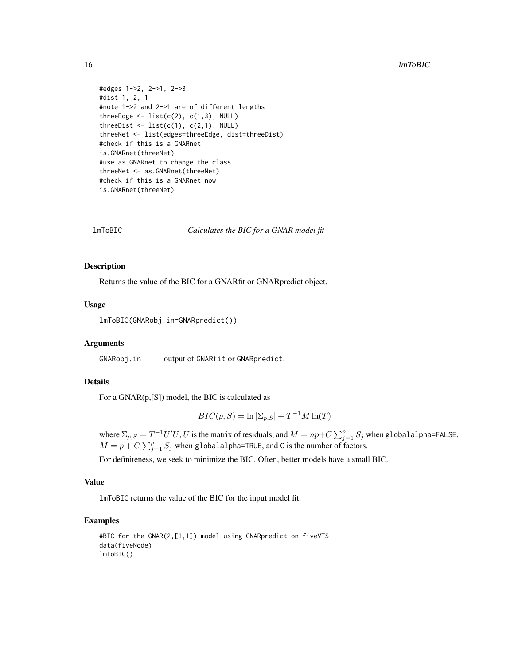```
#edges 1->2, 2->1, 2->3
#dist 1, 2, 1
#note 1->2 and 2->1 are of different lengths
threeEdge \leq - list(c(2), c(1,3), NULL)
threeDist \leq list(c(1), c(2,1), NULL)
threeNet <- list(edges=threeEdge, dist=threeDist)
#check if this is a GNARnet
is.GNARnet(threeNet)
#use as.GNARnet to change the class
threeNet <- as.GNARnet(threeNet)
#check if this is a GNARnet now
is.GNARnet(threeNet)
```
<span id="page-15-1"></span>

lmToBIC *Calculates the BIC for a GNAR model fit*

#### Description

Returns the value of the BIC for a GNARfit or GNARpredict object.

## Usage

lmToBIC(GNARobj.in=GNARpredict())

#### Arguments

GNARobj.in output of GNARfit or GNARpredict.

#### Details

For a GNAR(p,[S]) model, the BIC is calculated as

$$
BIC(p, S) = \ln |\Sigma_{p, S}| + T^{-1}M \ln(T)
$$

where  $\Sigma_{p,S} = T^{-1}U'U, U$  is the matrix of residuals, and  $M = np + C \sum_{j=1}^{p} S_j$  when globalalpha=FALSE,  $M = p + C \sum_{j=1}^{p} S_j$  when globalalpha=TRUE, and C is the number of factors.

For definiteness, we seek to minimize the BIC. Often, better models have a small BIC.

## Value

lmToBIC returns the value of the BIC for the input model fit.

```
#BIC for the GNAR(2,[1,1]) model using GNARpredict on fiveVTS
data(fiveNode)
lmToBIC()
```
<span id="page-15-0"></span>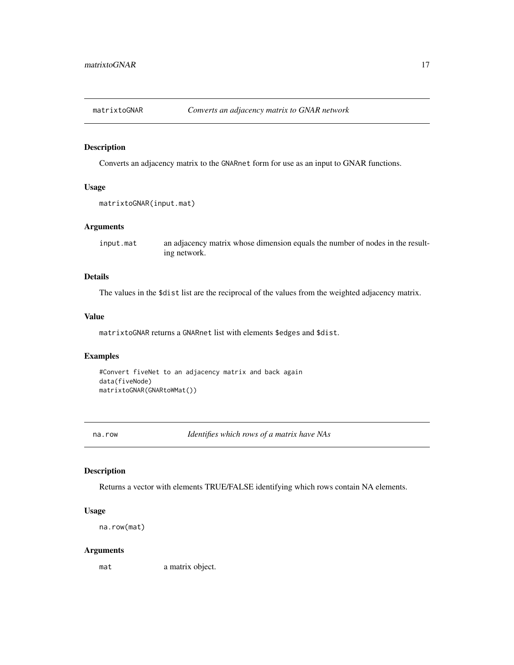<span id="page-16-0"></span>

Converts an adjacency matrix to the GNARnet form for use as an input to GNAR functions.

## Usage

```
matrixtoGNAR(input.mat)
```
## Arguments

input.mat an adjacency matrix whose dimension equals the number of nodes in the resulting network.

#### Details

The values in the \$dist list are the reciprocal of the values from the weighted adjacency matrix.

#### Value

matrixtoGNAR returns a GNARnet list with elements \$edges and \$dist.

## Examples

```
#Convert fiveNet to an adjacency matrix and back again
data(fiveNode)
matrixtoGNAR(GNARtoWMat())
```
na.row *Identifies which rows of a matrix have NAs*

## Description

Returns a vector with elements TRUE/FALSE identifying which rows contain NA elements.

#### Usage

```
na.row(mat)
```
#### Arguments

mat a matrix object.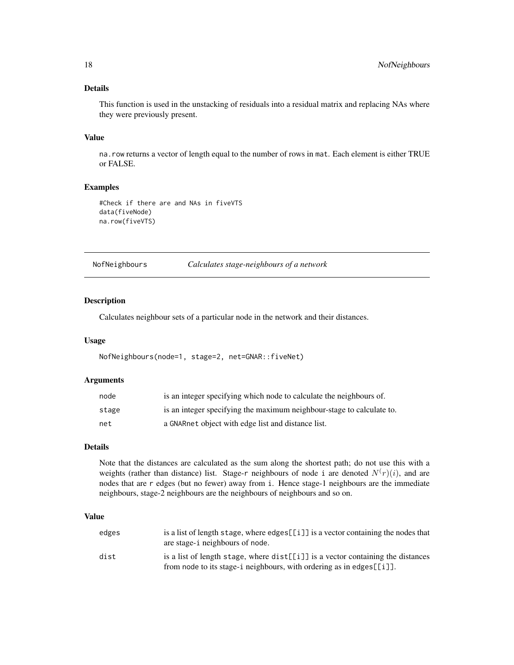## <span id="page-17-0"></span>Details

This function is used in the unstacking of residuals into a residual matrix and replacing NAs where they were previously present.

#### Value

na.row returns a vector of length equal to the number of rows in mat. Each element is either TRUE or FALSE.

#### Examples

```
#Check if there are and NAs in fiveVTS
data(fiveNode)
na.row(fiveVTS)
```
<span id="page-17-1"></span>NofNeighbours *Calculates stage-neighbours of a network*

#### Description

Calculates neighbour sets of a particular node in the network and their distances.

#### Usage

NofNeighbours(node=1, stage=2, net=GNAR::fiveNet)

#### Arguments

| node  | is an integer specifying which node to calculate the neighbours of.   |
|-------|-----------------------------------------------------------------------|
| stage | is an integer specifying the maximum neighbour-stage to calculate to. |
| net   | a GNARnet object with edge list and distance list.                    |

#### Details

Note that the distances are calculated as the sum along the shortest path; do not use this with a weights (rather than distance) list. Stage-r neighbours of node i are denoted  $N(r)(i)$ , and are nodes that are r edges (but no fewer) away from i. Hence stage-1 neighbours are the immediate neighbours, stage-2 neighbours are the neighbours of neighbours and so on.

## Value

| edges | is a list of length stage, where $edges[[i]]$ is a vector containing the nodes that<br>are stage-i neighbours of node.                                         |
|-------|----------------------------------------------------------------------------------------------------------------------------------------------------------------|
| dist  | is a list of length stage, where $dist[[i]]$ is a vector containing the distances<br>from node to its stage-i neighbours, with ordering as in edges [ $[i]$ ]. |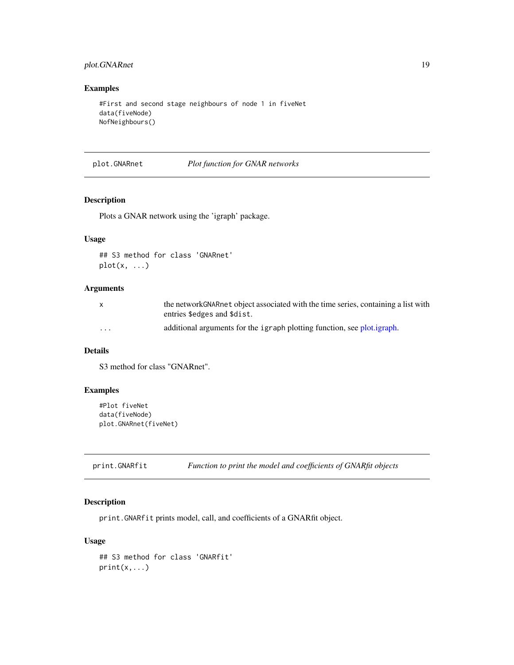## <span id="page-18-0"></span>plot.GNARnet 19

## Examples

```
#First and second stage neighbours of node 1 in fiveNet
data(fiveNode)
NofNeighbours()
```
plot.GNARnet *Plot function for GNAR networks*

## Description

Plots a GNAR network using the 'igraph' package.

## Usage

## S3 method for class 'GNARnet'  $plot(x, \ldots)$ 

## Arguments

|          | the network GNAR net object associated with the time series, containing a list with |
|----------|-------------------------------------------------------------------------------------|
|          | entries \$edges and \$dist.                                                         |
| $\cdots$ | additional arguments for the igraph plotting function, see plot.igraph.             |

## Details

S3 method for class "GNARnet".

## Examples

```
#Plot fiveNet
data(fiveNode)
plot.GNARnet(fiveNet)
```
print.GNARfit *Function to print the model and coefficients of GNARfit objects*

## Description

print.GNARfit prints model, call, and coefficients of a GNARfit object.

## Usage

```
## S3 method for class 'GNARfit'
print(x,...)
```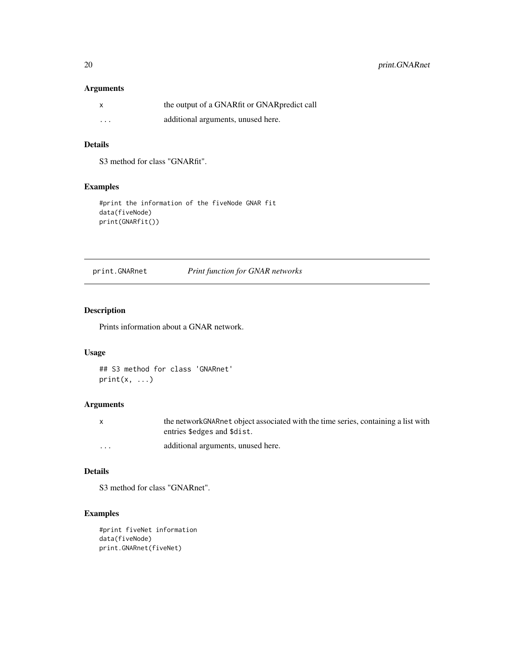## <span id="page-19-0"></span>Arguments

| $\mathsf{x}$ | the output of a GNARfit or GNARpredict call |
|--------------|---------------------------------------------|
| $\cdots$     | additional arguments, unused here.          |

## Details

S3 method for class "GNARfit".

## Examples

```
#print the information of the fiveNode GNAR fit
data(fiveNode)
print(GNARfit())
```
print.GNARnet *Print function for GNAR networks*

## Description

Prints information about a GNAR network.

#### Usage

```
## S3 method for class 'GNARnet'
print(x, \ldots)
```
## Arguments

|         | the network GNAR net object associated with the time series, containing a list with |
|---------|-------------------------------------------------------------------------------------|
|         | entries \$edges and \$dist.                                                         |
| $\cdot$ | additional arguments, unused here.                                                  |

## Details

S3 method for class "GNARnet".

```
#print fiveNet information
data(fiveNode)
print.GNARnet(fiveNet)
```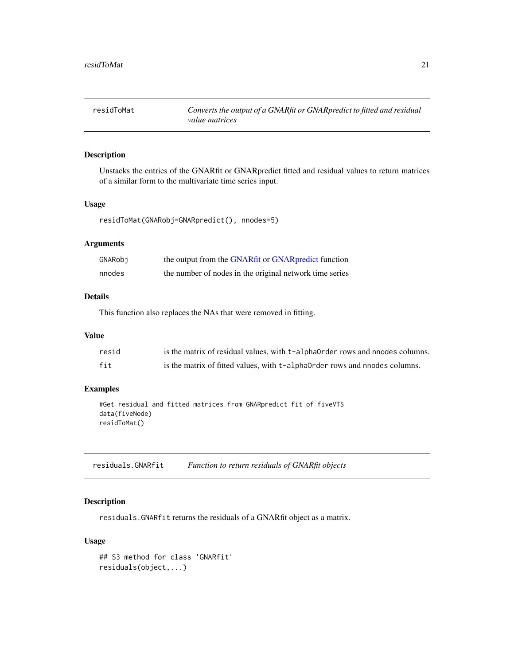<span id="page-20-1"></span><span id="page-20-0"></span>residToMat *Converts the output of a GNARfit or GNARpredict to fitted and residual value matrices*

## Description

Unstacks the entries of the GNARfit or GNARpredict fitted and residual values to return matrices of a similar form to the multivariate time series input.

## Usage

residToMat(GNARobj=GNARpredict(), nnodes=5)

## Arguments

| GNARobi | the output from the GNARfit or GNAR predict function    |
|---------|---------------------------------------------------------|
| nnodes  | the number of nodes in the original network time series |

## Details

This function also replaces the NAs that were removed in fitting.

#### Value

| resid | is the matrix of residual values, with t-alphaorder rows and nnodes columns. |
|-------|------------------------------------------------------------------------------|
| fit   | is the matrix of fitted values, with t-alpha0rder rows and nnodes columns.   |

## Examples

```
#Get residual and fitted matrices from GNARpredict fit of fiveVTS
data(fiveNode)
residToMat()
```
residuals.GNARfit *Function to return residuals of GNARfit objects*

## Description

residuals.GNARfit returns the residuals of a GNARfit object as a matrix.

## Usage

```
## S3 method for class 'GNARfit'
residuals(object,...)
```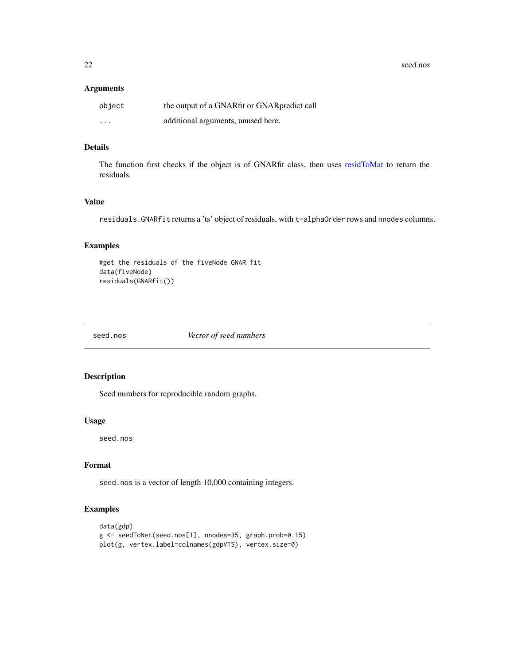<span id="page-21-0"></span>22 seed.nos

#### Arguments

| object   | the output of a GNARfit or GNARpredict call |
|----------|---------------------------------------------|
| $\cdots$ | additional arguments, unused here.          |

## Details

The function first checks if the object is of GNARfit class, then uses [residToMat](#page-20-1) to return the residuals.

## Value

residuals.GNARfit returns a 'ts' object of residuals, with t-alphaOrder rows and nnodes columns.

## Examples

```
#get the residuals of the fiveNode GNAR fit
data(fiveNode)
residuals(GNARfit())
```
seed.nos *Vector of seed numbers*

## Description

Seed numbers for reproducible random graphs.

#### Usage

seed.nos

## Format

seed.nos is a vector of length 10,000 containing integers.

```
data(gdp)
g <- seedToNet(seed.nos[1], nnodes=35, graph.prob=0.15)
plot(g, vertex.label=colnames(gdpVTS), vertex.size=0)
```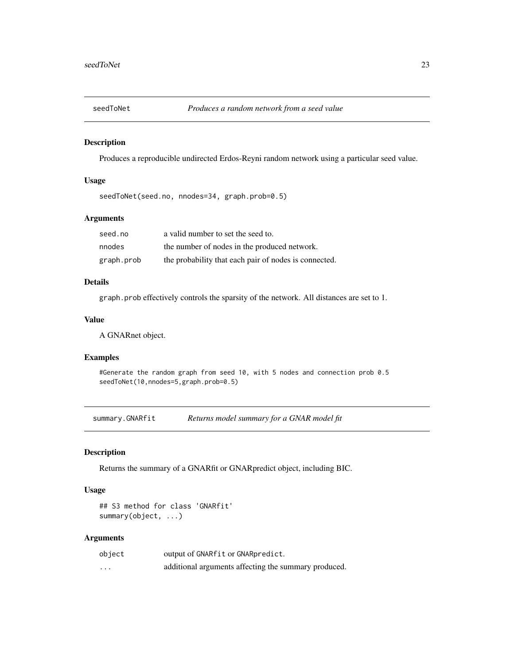<span id="page-22-0"></span>

Produces a reproducible undirected Erdos-Reyni random network using a particular seed value.

## Usage

```
seedToNet(seed.no, nnodes=34, graph.prob=0.5)
```
## Arguments

| seed.no    | a valid number to set the seed to.                    |
|------------|-------------------------------------------------------|
| nnodes     | the number of nodes in the produced network.          |
| graph.prob | the probability that each pair of nodes is connected. |

## Details

graph.prob effectively controls the sparsity of the network. All distances are set to 1.

## Value

A GNARnet object.

## Examples

#Generate the random graph from seed 10, with 5 nodes and connection prob 0.5 seedToNet(10,nnodes=5,graph.prob=0.5)

summary.GNARfit *Returns model summary for a GNAR model fit*

## Description

Returns the summary of a GNARfit or GNARpredict object, including BIC.

## Usage

## S3 method for class 'GNARfit' summary(object, ...)

#### Arguments

| object | output of GNARfit or GNARpredict.                    |
|--------|------------------------------------------------------|
| .      | additional arguments affecting the summary produced. |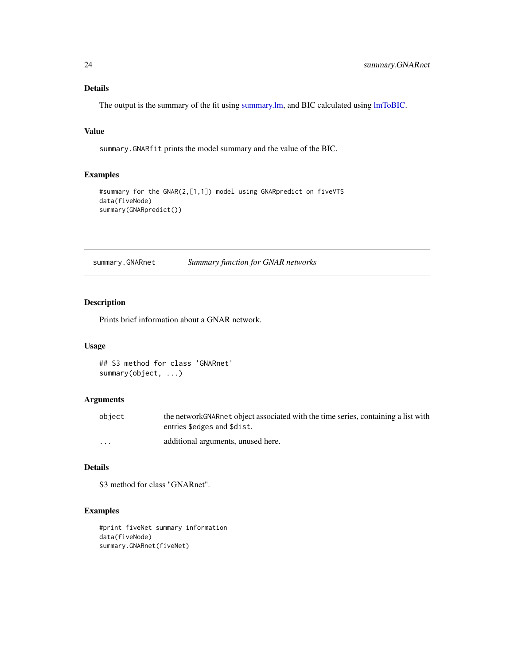## <span id="page-23-0"></span>Details

The output is the summary of the fit using [summary.lm,](#page-0-0) and BIC calculated using [lmToBIC.](#page-15-1)

## Value

summary.GNARfit prints the model summary and the value of the BIC.

## Examples

```
#summary for the GNAR(2,[1,1]) model using GNARpredict on fiveVTS
data(fiveNode)
summary(GNARpredict())
```
summary.GNARnet *Summary function for GNAR networks*

## Description

Prints brief information about a GNAR network.

#### Usage

## S3 method for class 'GNARnet' summary(object, ...)

## Arguments

| object                  | the network GNAR net object associated with the time series, containing a list with |
|-------------------------|-------------------------------------------------------------------------------------|
|                         | entries \$edges and \$dist.                                                         |
| $\cdot$ $\cdot$ $\cdot$ | additional arguments, unused here.                                                  |

## Details

S3 method for class "GNARnet".

```
#print fiveNet summary information
data(fiveNode)
summary.GNARnet(fiveNet)
```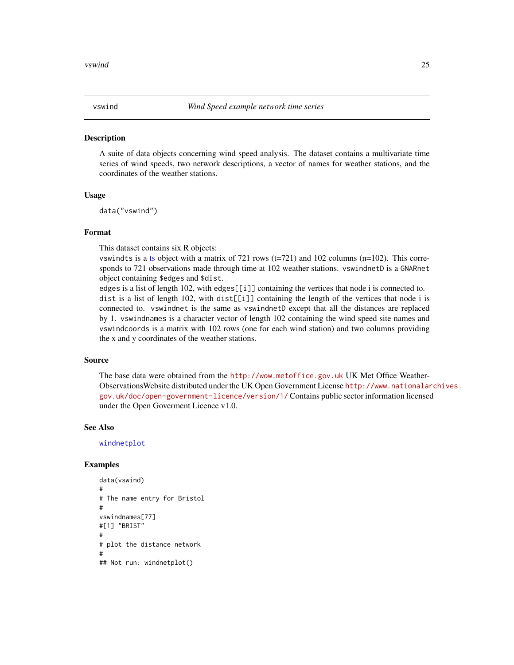<span id="page-24-1"></span><span id="page-24-0"></span>

A suite of data objects concerning wind speed analysis. The dataset contains a multivariate time series of wind speeds, two network descriptions, a vector of names for weather stations, and the coordinates of the weather stations.

#### Usage

data("vswind")

#### Format

This dataset contains six R objects:

vswind[ts](#page-0-0) is a ts object with a matrix of 721 rows ( $t=721$ ) and 102 columns ( $n=102$ ). This corresponds to 721 observations made through time at 102 weather stations. vswindnetD is a GNARnet object containing \$edges and \$dist.

edges is a list of length 102, with edges[[i]] containing the vertices that node i is connected to. dist is a list of length 102, with dist[[i]] containing the length of the vertices that node i is connected to. vswindnet is the same as vswindnetD except that all the distances are replaced by 1. vswindnames is a character vector of length 102 containing the wind speed site names and vswindcoords is a matrix with 102 rows (one for each wind station) and two columns providing the x and y coordinates of the weather stations.

#### Source

The base data were obtained from the <http://wow.metoffice.gov.uk> UK Met Office Weather-ObservationsWebsite distributed under the UK Open Government License [http://www.nationalar](http://www.nationalarchives.gov.uk/doc/open-government-licence/version/1/)chives. [gov.uk/doc/open-government-licence/version/1/](http://www.nationalarchives.gov.uk/doc/open-government-licence/version/1/) Contains public sector information licensed under the Open Goverment Licence v1.0.

#### See Also

[windnetplot](#page-25-1)

```
data(vswind)
#
# The name entry for Bristol
#
vswindnames[77]
#[1] "BRIST"
#
# plot the distance network
#
## Not run: windnetplot()
```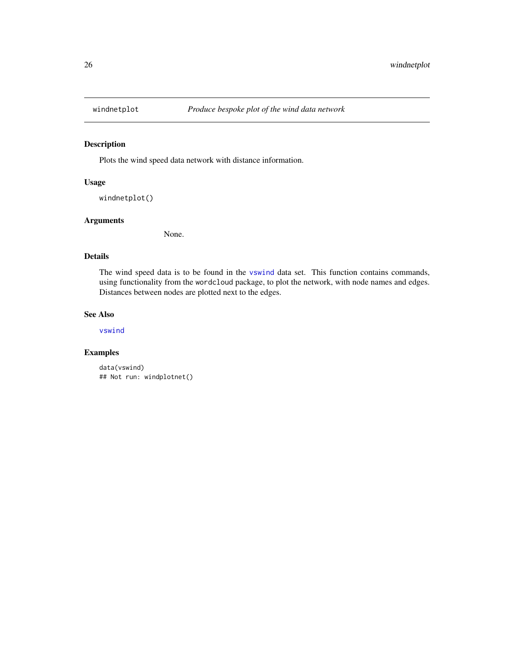<span id="page-25-1"></span><span id="page-25-0"></span>

Plots the wind speed data network with distance information.

## Usage

```
windnetplot()
```
## Arguments

None.

## Details

The wind speed data is to be found in the [vswind](#page-24-1) data set. This function contains commands, using functionality from the wordcloud package, to plot the network, with node names and edges. Distances between nodes are plotted next to the edges.

## See Also

[vswind](#page-24-1)

```
data(vswind)
## Not run: windplotnet()
```